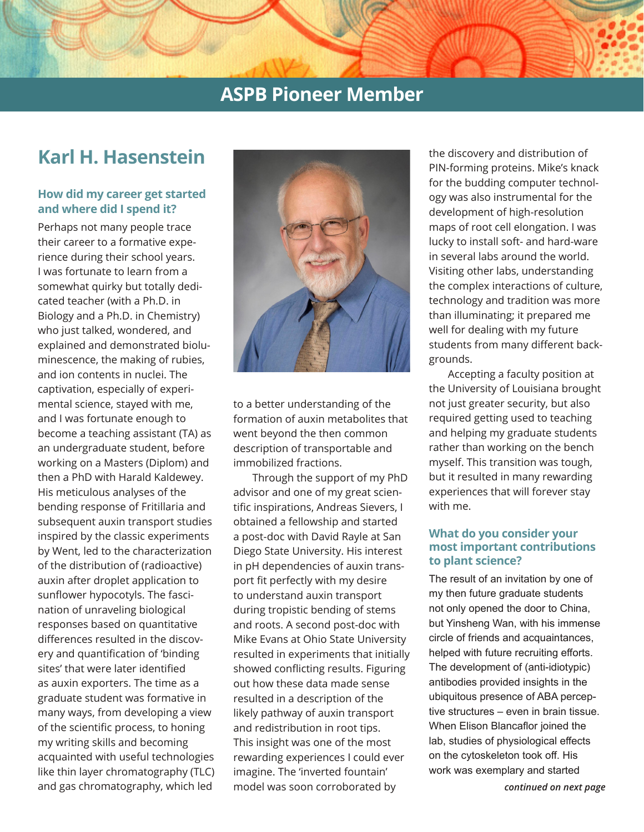## **ASPB Pioneer Member**

# **Karl H. Hasenstein**

### **How did my career get started and where did I spend it?**

Perhaps not many people trace their career to a formative experience during their school years. I was fortunate to learn from a somewhat quirky but totally dedicated teacher (with a Ph.D. in Biology and a Ph.D. in Chemistry) who just talked, wondered, and explained and demonstrated bioluminescence, the making of rubies, and ion contents in nuclei. The captivation, especially of experimental science, stayed with me, and I was fortunate enough to become a teaching assistant (TA) as an undergraduate student, before working on a Masters (Diplom) and then a PhD with Harald Kaldewey. His meticulous analyses of the bending response of Fritillaria and subsequent auxin transport studies inspired by the classic experiments by Went, led to the characterization of the distribution of (radioactive) auxin after droplet application to sunflower hypocotyls. The fascination of unraveling biological responses based on quantitative differences resulted in the discovery and quantification of 'binding sites' that were later identified as auxin exporters. The time as a graduate student was formative in many ways, from developing a view of the scientific process, to honing my writing skills and becoming acquainted with useful technologies like thin layer chromatography (TLC) and gas chromatography, which led



to a better understanding of the formation of auxin metabolites that went beyond the then common description of transportable and immobilized fractions.

Through the support of my PhD advisor and one of my great scientific inspirations, Andreas Sievers, I obtained a fellowship and started a post-doc with David Rayle at San Diego State University. His interest in pH dependencies of auxin transport fit perfectly with my desire to understand auxin transport during tropistic bending of stems and roots. A second post-doc with Mike Evans at Ohio State University resulted in experiments that initially showed conflicting results. Figuring out how these data made sense resulted in a description of the likely pathway of auxin transport and redistribution in root tips. This insight was one of the most rewarding experiences I could ever imagine. The 'inverted fountain' model was soon corroborated by

the discovery and distribution of PIN-forming proteins. Mike's knack for the budding computer technology was also instrumental for the development of high-resolution maps of root cell elongation. I was lucky to install soft- and hard-ware in several labs around the world. Visiting other labs, understanding the complex interactions of culture, technology and tradition was more than illuminating; it prepared me well for dealing with my future students from many different backgrounds.

Accepting a faculty position at the University of Louisiana brought not just greater security, but also required getting used to teaching and helping my graduate students rather than working on the bench myself. This transition was tough, but it resulted in many rewarding experiences that will forever stay with me.

#### **What do you consider your most important contributions to plant science?**

The result of an invitation by one of my then future graduate students not only opened the door to China, but Yinsheng Wan, with his immense circle of friends and acquaintances, helped with future recruiting efforts. The development of (anti-idiotypic) antibodies provided insights in the ubiquitous presence of ABA perceptive structures – even in brain tissue. When Elison Blancaflor joined the lab, studies of physiological effects on the cytoskeleton took off. His work was exemplary and started